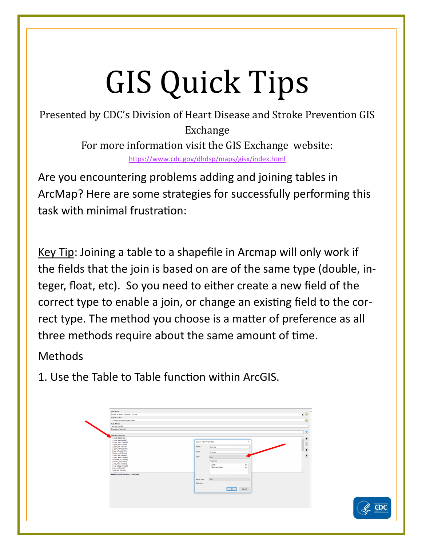## GIS Quick Tips

Presented by CDC's Division of Heart Disease and Stroke Prevention GIS Exchange For more information visit the GIS Exchange website: <https://www.cdc.gov/dhdsp/maps/gisx/index.html>

Are you encountering problems adding and joining tables in ArcMap? Here are some strategies for successfully performing this task with minimal frustration:

Key Tip: Joining a table to a shapefile in Arcmap will only work if the fields that the join is based on are of the same type (double, integer, float, etc). So you need to either create a new field of the correct type to enable a join, or change an existing field to the correct type. The method you choose is a matter of preference as all three methods require about the same amount of time.

Methods

1. Use the Table to Table function within ArcGIS.